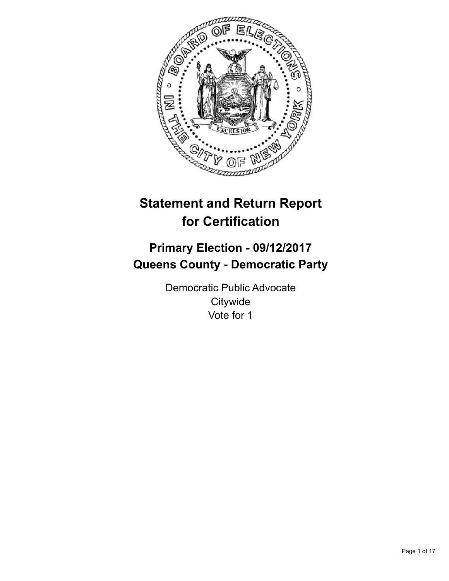

# **Statement and Return Report for Certification**

## **Primary Election - 09/12/2017 Queens County - Democratic Party**

Democratic Public Advocate **Citywide** Vote for 1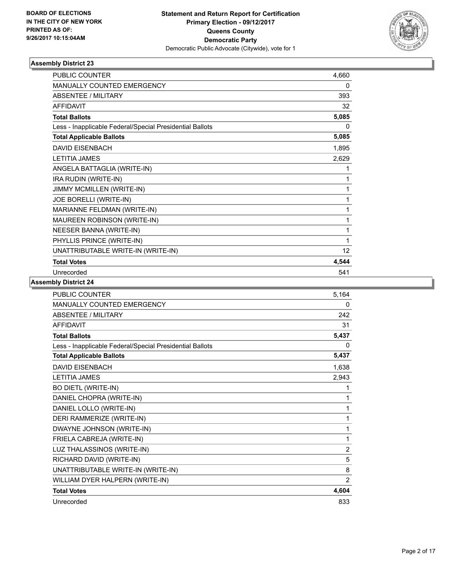

| <b>PUBLIC COUNTER</b>                                    | 4,660 |
|----------------------------------------------------------|-------|
| <b>MANUALLY COUNTED EMERGENCY</b>                        | 0     |
| <b>ABSENTEE / MILITARY</b>                               | 393   |
| <b>AFFIDAVIT</b>                                         | 32    |
| <b>Total Ballots</b>                                     | 5,085 |
| Less - Inapplicable Federal/Special Presidential Ballots | 0     |
| <b>Total Applicable Ballots</b>                          | 5,085 |
| <b>DAVID EISENBACH</b>                                   | 1,895 |
| <b>LETITIA JAMES</b>                                     | 2,629 |
| ANGELA BATTAGLIA (WRITE-IN)                              | 1     |
| IRA RUDIN (WRITE-IN)                                     | 1     |
| JIMMY MCMILLEN (WRITE-IN)                                | 1     |
| JOE BORELLI (WRITE-IN)                                   | 1     |
| MARIANNE FELDMAN (WRITE-IN)                              | 1     |
| MAUREEN ROBINSON (WRITE-IN)                              | 1     |
| NEESER BANNA (WRITE-IN)                                  | 1     |
| PHYLLIS PRINCE (WRITE-IN)                                | 1     |
| UNATTRIBUTABLE WRITE-IN (WRITE-IN)                       | 12    |
| <b>Total Votes</b>                                       | 4,544 |
| Unrecorded                                               | 541   |

| PUBLIC COUNTER                                           | 5,164          |
|----------------------------------------------------------|----------------|
| <b>MANUALLY COUNTED EMERGENCY</b>                        | 0              |
| <b>ABSENTEE / MILITARY</b>                               | 242            |
| <b>AFFIDAVIT</b>                                         | 31             |
| <b>Total Ballots</b>                                     | 5,437          |
| Less - Inapplicable Federal/Special Presidential Ballots | 0              |
| <b>Total Applicable Ballots</b>                          | 5,437          |
| <b>DAVID EISENBACH</b>                                   | 1,638          |
| <b>LETITIA JAMES</b>                                     | 2,943          |
| <b>BO DIETL (WRITE-IN)</b>                               | 1              |
| DANIEL CHOPRA (WRITE-IN)                                 | 1              |
| DANIEL LOLLO (WRITE-IN)                                  | 1              |
| DERI RAMMERIZE (WRITE-IN)                                | 1              |
| DWAYNE JOHNSON (WRITE-IN)                                | 1              |
| FRIELA CABREJA (WRITE-IN)                                | 1              |
| LUZ THALASSINOS (WRITE-IN)                               | $\overline{2}$ |
| RICHARD DAVID (WRITE-IN)                                 | 5              |
| UNATTRIBUTABLE WRITE-IN (WRITE-IN)                       | 8              |
| WILLIAM DYER HALPERN (WRITE-IN)                          | 2              |
| <b>Total Votes</b>                                       | 4,604          |
| Unrecorded                                               | 833            |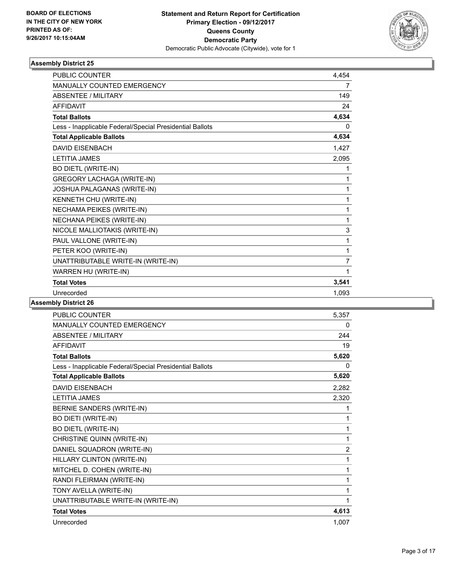

| <b>PUBLIC COUNTER</b>                                    | 4,454          |
|----------------------------------------------------------|----------------|
| <b>MANUALLY COUNTED EMERGENCY</b>                        | 7              |
| <b>ABSENTEE / MILITARY</b>                               | 149            |
| <b>AFFIDAVIT</b>                                         | 24             |
| <b>Total Ballots</b>                                     | 4,634          |
| Less - Inapplicable Federal/Special Presidential Ballots | 0              |
| <b>Total Applicable Ballots</b>                          | 4,634          |
| <b>DAVID EISENBACH</b>                                   | 1,427          |
| <b>LETITIA JAMES</b>                                     | 2,095          |
| <b>BO DIETL (WRITE-IN)</b>                               | 1              |
| <b>GREGORY LACHAGA (WRITE-IN)</b>                        | 1              |
| JOSHUA PALAGANAS (WRITE-IN)                              | 1              |
| KENNETH CHU (WRITE-IN)                                   | 1              |
| NECHAMA PEIKES (WRITE-IN)                                | 1              |
| NECHANA PEIKES (WRITE-IN)                                | 1              |
| NICOLE MALLIOTAKIS (WRITE-IN)                            | 3              |
| PAUL VALLONE (WRITE-IN)                                  | 1              |
| PETER KOO (WRITE-IN)                                     | 1              |
| UNATTRIBUTABLE WRITE-IN (WRITE-IN)                       | $\overline{7}$ |
| WARREN HU (WRITE-IN)                                     | 1              |
| <b>Total Votes</b>                                       | 3,541          |
| Unrecorded                                               | 1,093          |
|                                                          |                |

| PUBLIC COUNTER                                           | 5,357    |
|----------------------------------------------------------|----------|
| MANUALLY COUNTED EMERGENCY                               | 0        |
| <b>ABSENTEE / MILITARY</b>                               | 244      |
| <b>AFFIDAVIT</b>                                         | 19       |
| <b>Total Ballots</b>                                     | 5,620    |
| Less - Inapplicable Federal/Special Presidential Ballots | $\Omega$ |
| <b>Total Applicable Ballots</b>                          | 5,620    |
| <b>DAVID EISENBACH</b>                                   | 2,282    |
| <b>LETITIA JAMES</b>                                     | 2,320    |
| BERNIE SANDERS (WRITE-IN)                                | 1        |
| <b>BO DIETI (WRITE-IN)</b>                               | 1        |
| <b>BO DIETL (WRITE-IN)</b>                               | 1        |
| CHRISTINE QUINN (WRITE-IN)                               | 1        |
| DANIEL SQUADRON (WRITE-IN)                               | 2        |
| HILLARY CLINTON (WRITE-IN)                               | 1        |
| MITCHEL D. COHEN (WRITE-IN)                              | 1        |
| RANDI FLEIRMAN (WRITE-IN)                                | 1        |
| TONY AVELLA (WRITE-IN)                                   | 1        |
| UNATTRIBUTABLE WRITE-IN (WRITE-IN)                       | 1        |
| <b>Total Votes</b>                                       | 4,613    |
| Unrecorded                                               | 1,007    |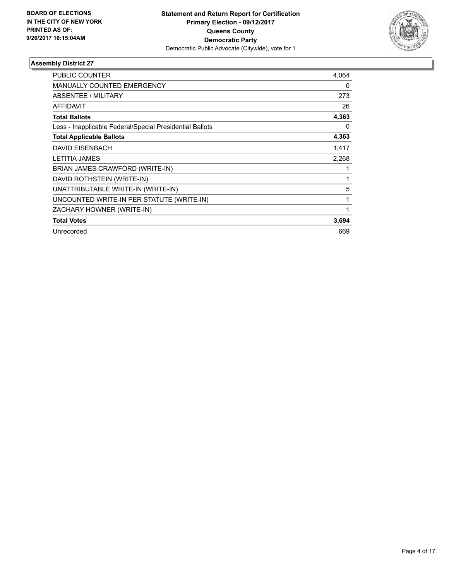

| PUBLIC COUNTER                                           | 4,064 |
|----------------------------------------------------------|-------|
| <b>MANUALLY COUNTED EMERGENCY</b>                        | 0     |
| ABSENTEE / MILITARY                                      | 273   |
| <b>AFFIDAVIT</b>                                         | 26    |
| <b>Total Ballots</b>                                     | 4,363 |
| Less - Inapplicable Federal/Special Presidential Ballots | 0     |
| <b>Total Applicable Ballots</b>                          | 4,363 |
| <b>DAVID EISENBACH</b>                                   | 1,417 |
| <b>LETITIA JAMES</b>                                     | 2,268 |
| BRIAN JAMES CRAWFORD (WRITE-IN)                          |       |
| DAVID ROTHSTEIN (WRITE-IN)                               | 1     |
| UNATTRIBUTABLE WRITE-IN (WRITE-IN)                       | 5     |
| UNCOUNTED WRITE-IN PER STATUTE (WRITE-IN)                | 1     |
| ZACHARY HOWNER (WRITE-IN)                                | 1     |
| <b>Total Votes</b>                                       | 3,694 |
| Unrecorded                                               | 669   |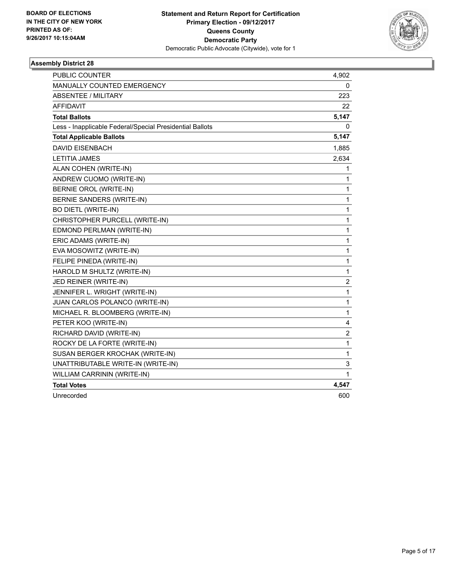

| PUBLIC COUNTER                                           | 4,902                   |
|----------------------------------------------------------|-------------------------|
| MANUALLY COUNTED EMERGENCY                               | 0                       |
| <b>ABSENTEE / MILITARY</b>                               | 223                     |
| <b>AFFIDAVIT</b>                                         | 22                      |
| <b>Total Ballots</b>                                     | 5,147                   |
| Less - Inapplicable Federal/Special Presidential Ballots | 0                       |
| <b>Total Applicable Ballots</b>                          | 5,147                   |
| <b>DAVID EISENBACH</b>                                   | 1,885                   |
| <b>LETITIA JAMES</b>                                     | 2,634                   |
| ALAN COHEN (WRITE-IN)                                    | 1                       |
| ANDREW CUOMO (WRITE-IN)                                  | 1                       |
| <b>BERNIE OROL (WRITE-IN)</b>                            | 1                       |
| <b>BERNIE SANDERS (WRITE-IN)</b>                         | 1                       |
| <b>BO DIETL (WRITE-IN)</b>                               | 1                       |
| CHRISTOPHER PURCELL (WRITE-IN)                           | 1                       |
| EDMOND PERLMAN (WRITE-IN)                                | 1                       |
| ERIC ADAMS (WRITE-IN)                                    | $\mathbf{1}$            |
| EVA MOSOWITZ (WRITE-IN)                                  | 1                       |
| FELIPE PINEDA (WRITE-IN)                                 | 1                       |
| HAROLD M SHULTZ (WRITE-IN)                               | 1                       |
| JED REINER (WRITE-IN)                                    | $\overline{\mathbf{c}}$ |
| JENNIFER L. WRIGHT (WRITE-IN)                            | 1                       |
| JUAN CARLOS POLANCO (WRITE-IN)                           | 1                       |
| MICHAEL R. BLOOMBERG (WRITE-IN)                          | $\mathbf{1}$            |
| PETER KOO (WRITE-IN)                                     | 4                       |
| RICHARD DAVID (WRITE-IN)                                 | $\boldsymbol{2}$        |
| ROCKY DE LA FORTE (WRITE-IN)                             | 1                       |
| SUSAN BERGER KROCHAK (WRITE-IN)                          | 1                       |
| UNATTRIBUTABLE WRITE-IN (WRITE-IN)                       | 3                       |
| WILLIAM CARRININ (WRITE-IN)                              | 1                       |
| <b>Total Votes</b>                                       | 4,547                   |
| Unrecorded                                               | 600                     |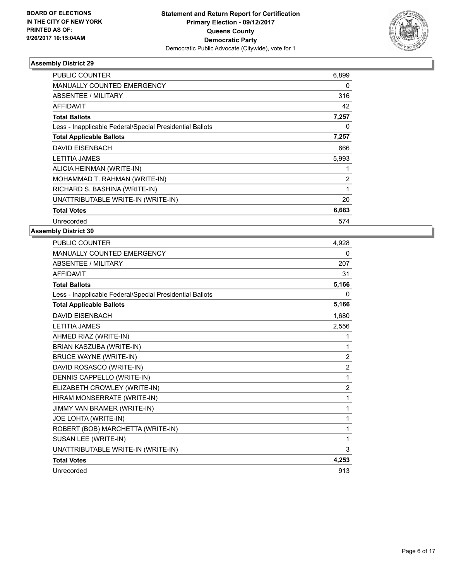

| PUBLIC COUNTER                                           | 6,899          |
|----------------------------------------------------------|----------------|
| <b>MANUALLY COUNTED EMERGENCY</b>                        | 0              |
| <b>ABSENTEE / MILITARY</b>                               | 316            |
| <b>AFFIDAVIT</b>                                         | 42             |
| <b>Total Ballots</b>                                     | 7,257          |
| Less - Inapplicable Federal/Special Presidential Ballots | 0              |
| <b>Total Applicable Ballots</b>                          | 7,257          |
| <b>DAVID EISENBACH</b>                                   | 666            |
| <b>LETITIA JAMES</b>                                     | 5,993          |
| ALICIA HEINMAN (WRITE-IN)                                |                |
| MOHAMMAD T. RAHMAN (WRITE-IN)                            | $\overline{2}$ |
| RICHARD S. BASHINA (WRITE-IN)                            | 1              |
| UNATTRIBUTABLE WRITE-IN (WRITE-IN)                       | 20             |
| <b>Total Votes</b>                                       | 6,683          |
| Unrecorded                                               | 574            |

| <b>PUBLIC COUNTER</b>                                    | 4,928          |
|----------------------------------------------------------|----------------|
| <b>MANUALLY COUNTED EMERGENCY</b>                        | 0              |
| ABSENTEE / MILITARY                                      | 207            |
| <b>AFFIDAVIT</b>                                         | 31             |
| <b>Total Ballots</b>                                     | 5,166          |
| Less - Inapplicable Federal/Special Presidential Ballots | 0              |
| <b>Total Applicable Ballots</b>                          | 5,166          |
| <b>DAVID EISENBACH</b>                                   | 1,680          |
| <b>LETITIA JAMES</b>                                     | 2,556          |
| AHMED RIAZ (WRITE-IN)                                    | 1              |
| BRIAN KASZUBA (WRITE-IN)                                 | 1              |
| <b>BRUCE WAYNE (WRITE-IN)</b>                            | $\overline{2}$ |
| DAVID ROSASCO (WRITE-IN)                                 | $\overline{c}$ |
| DENNIS CAPPELLO (WRITE-IN)                               | 1              |
| ELIZABETH CROWLEY (WRITE-IN)                             | 2              |
| HIRAM MONSERRATE (WRITE-IN)                              | 1              |
| JIMMY VAN BRAMER (WRITE-IN)                              | 1              |
| JOE LOHTA (WRITE-IN)                                     | 1              |
| ROBERT (BOB) MARCHETTA (WRITE-IN)                        | 1              |
| SUSAN LEE (WRITE-IN)                                     | 1              |
| UNATTRIBUTABLE WRITE-IN (WRITE-IN)                       | 3              |
| <b>Total Votes</b>                                       | 4,253          |
| Unrecorded                                               | 913            |
|                                                          |                |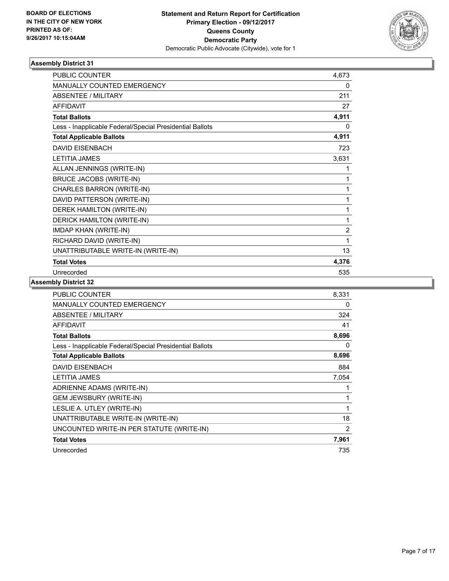

| <b>PUBLIC COUNTER</b>                                    | 4,673          |
|----------------------------------------------------------|----------------|
| <b>MANUALLY COUNTED EMERGENCY</b>                        | 0              |
| <b>ABSENTEE / MILITARY</b>                               | 211            |
| <b>AFFIDAVIT</b>                                         | 27             |
| <b>Total Ballots</b>                                     | 4,911          |
| Less - Inapplicable Federal/Special Presidential Ballots | 0              |
| <b>Total Applicable Ballots</b>                          | 4,911          |
| <b>DAVID EISENBACH</b>                                   | 723            |
| <b>LETITIA JAMES</b>                                     | 3,631          |
| ALLAN JENNINGS (WRITE-IN)                                | 1              |
| <b>BRUCE JACOBS (WRITE-IN)</b>                           | 1              |
| CHARLES BARRON (WRITE-IN)                                | 1              |
| DAVID PATTERSON (WRITE-IN)                               | 1              |
| DEREK HAMILTON (WRITE-IN)                                | 1              |
| DERICK HAMILTON (WRITE-IN)                               | 1              |
| <b>IMDAP KHAN (WRITE-IN)</b>                             | $\overline{2}$ |
| RICHARD DAVID (WRITE-IN)                                 | 1              |
| UNATTRIBUTABLE WRITE-IN (WRITE-IN)                       | 13             |
| <b>Total Votes</b>                                       | 4,376          |
| Unrecorded                                               | 535            |

| PUBLIC COUNTER                                           | 8,331          |
|----------------------------------------------------------|----------------|
| MANUALLY COUNTED EMERGENCY                               | 0              |
| ABSENTEE / MILITARY                                      | 324            |
| <b>AFFIDAVIT</b>                                         | 41             |
| <b>Total Ballots</b>                                     | 8,696          |
| Less - Inapplicable Federal/Special Presidential Ballots | 0              |
| <b>Total Applicable Ballots</b>                          | 8,696          |
| <b>DAVID EISENBACH</b>                                   | 884            |
| <b>LETITIA JAMES</b>                                     | 7,054          |
| ADRIENNE ADAMS (WRITE-IN)                                | 1              |
| <b>GEM JEWSBURY (WRITE-IN)</b>                           | 1              |
| LESLIE A. UTLEY (WRITE-IN)                               | 1              |
| UNATTRIBUTABLE WRITE-IN (WRITE-IN)                       | 18             |
| UNCOUNTED WRITE-IN PER STATUTE (WRITE-IN)                | $\overline{2}$ |
| <b>Total Votes</b>                                       | 7,961          |
| Unrecorded                                               | 735            |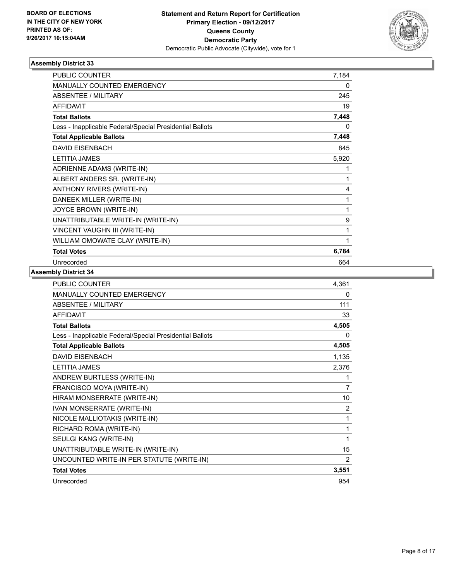

| <b>PUBLIC COUNTER</b>                                    | 7,184 |
|----------------------------------------------------------|-------|
| <b>MANUALLY COUNTED EMERGENCY</b>                        | 0     |
| <b>ABSENTEE / MILITARY</b>                               | 245   |
| <b>AFFIDAVIT</b>                                         | 19    |
| <b>Total Ballots</b>                                     | 7,448 |
| Less - Inapplicable Federal/Special Presidential Ballots | 0     |
| <b>Total Applicable Ballots</b>                          | 7,448 |
| <b>DAVID EISENBACH</b>                                   | 845   |
| <b>LETITIA JAMES</b>                                     | 5,920 |
| ADRIENNE ADAMS (WRITE-IN)                                | 1     |
| ALBERT ANDERS SR. (WRITE-IN)                             | 1     |
| ANTHONY RIVERS (WRITE-IN)                                | 4     |
| DANEEK MILLER (WRITE-IN)                                 | 1     |
| JOYCE BROWN (WRITE-IN)                                   | 1     |
| UNATTRIBUTABLE WRITE-IN (WRITE-IN)                       | 9     |
| VINCENT VAUGHN III (WRITE-IN)                            | 1     |
| WILLIAM OMOWATE CLAY (WRITE-IN)                          | 1     |
| <b>Total Votes</b>                                       | 6,784 |
| Unrecorded                                               | 664   |

| PUBLIC COUNTER                                           | 4,361          |
|----------------------------------------------------------|----------------|
| <b>MANUALLY COUNTED EMERGENCY</b>                        | 0              |
| ABSENTEE / MILITARY                                      | 111            |
| <b>AFFIDAVIT</b>                                         | 33             |
| <b>Total Ballots</b>                                     | 4,505          |
| Less - Inapplicable Federal/Special Presidential Ballots | 0              |
| <b>Total Applicable Ballots</b>                          | 4,505          |
| <b>DAVID EISENBACH</b>                                   | 1,135          |
| <b>LETITIA JAMES</b>                                     | 2,376          |
| ANDREW BURTLESS (WRITE-IN)                               | 1              |
| FRANCISCO MOYA (WRITE-IN)                                | 7              |
| HIRAM MONSERRATE (WRITE-IN)                              | 10             |
| IVAN MONSERRATE (WRITE-IN)                               | $\overline{2}$ |
| NICOLE MALLIOTAKIS (WRITE-IN)                            | 1              |
| RICHARD ROMA (WRITE-IN)                                  | 1              |
| SEULGI KANG (WRITE-IN)                                   | 1              |
| UNATTRIBUTABLE WRITE-IN (WRITE-IN)                       | 15             |
| UNCOUNTED WRITE-IN PER STATUTE (WRITE-IN)                | 2              |
| <b>Total Votes</b>                                       | 3,551          |
| Unrecorded                                               | 954            |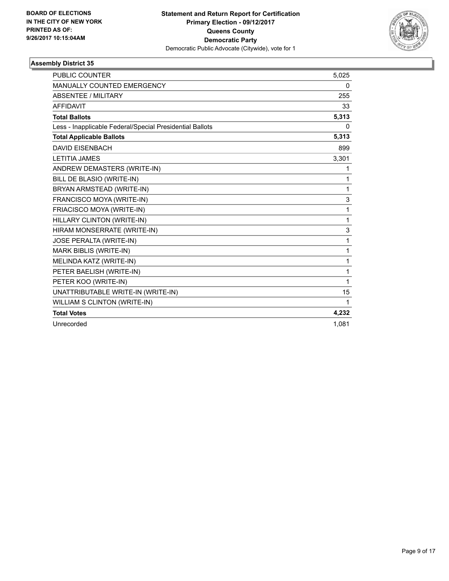

| <b>PUBLIC COUNTER</b>                                    | 5,025 |
|----------------------------------------------------------|-------|
| MANUALLY COUNTED EMERGENCY                               | 0     |
| <b>ABSENTEE / MILITARY</b>                               | 255   |
| <b>AFFIDAVIT</b>                                         | 33    |
| <b>Total Ballots</b>                                     | 5,313 |
| Less - Inapplicable Federal/Special Presidential Ballots | 0     |
| <b>Total Applicable Ballots</b>                          | 5,313 |
| <b>DAVID EISENBACH</b>                                   | 899   |
| <b>LETITIA JAMES</b>                                     | 3,301 |
| ANDREW DEMASTERS (WRITE-IN)                              | 1     |
| BILL DE BLASIO (WRITE-IN)                                | 1     |
| BRYAN ARMSTEAD (WRITE-IN)                                | 1     |
| FRANCISCO MOYA (WRITE-IN)                                | 3     |
| FRIACISCO MOYA (WRITE-IN)                                | 1     |
| HILLARY CLINTON (WRITE-IN)                               | 1     |
| HIRAM MONSERRATE (WRITE-IN)                              | 3     |
| JOSE PERALTA (WRITE-IN)                                  | 1     |
| MARK BIBLIS (WRITE-IN)                                   | 1     |
| MELINDA KATZ (WRITE-IN)                                  | 1     |
| PETER BAELISH (WRITE-IN)                                 | 1     |
| PETER KOO (WRITE-IN)                                     | 1     |
| UNATTRIBUTABLE WRITE-IN (WRITE-IN)                       | 15    |
| WILLIAM S CLINTON (WRITE-IN)                             | 1     |
| <b>Total Votes</b>                                       | 4,232 |
| Unrecorded                                               | 1.081 |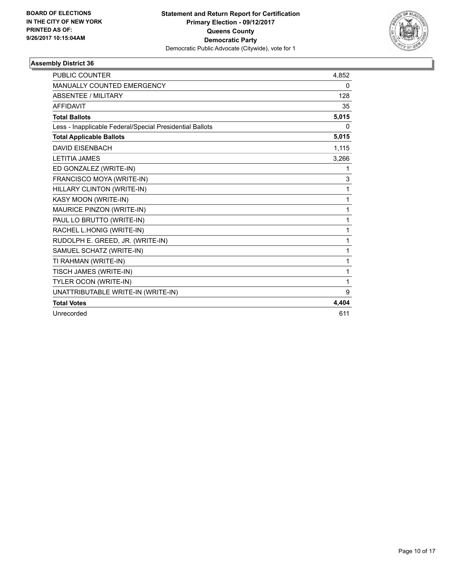

| <b>PUBLIC COUNTER</b>                                    | 4,852    |
|----------------------------------------------------------|----------|
| MANUALLY COUNTED EMERGENCY                               | 0        |
| <b>ABSENTEE / MILITARY</b>                               | 128      |
| <b>AFFIDAVIT</b>                                         | 35       |
| <b>Total Ballots</b>                                     | 5,015    |
| Less - Inapplicable Federal/Special Presidential Ballots | $\Omega$ |
| <b>Total Applicable Ballots</b>                          | 5,015    |
| <b>DAVID EISENBACH</b>                                   | 1,115    |
| <b>LETITIA JAMES</b>                                     | 3,266    |
| ED GONZALEZ (WRITE-IN)                                   | 1        |
| FRANCISCO MOYA (WRITE-IN)                                | 3        |
| HILLARY CLINTON (WRITE-IN)                               | 1        |
| KASY MOON (WRITE-IN)                                     | 1        |
| MAURICE PINZON (WRITE-IN)                                | 1        |
| PAUL LO BRUTTO (WRITE-IN)                                | 1        |
| RACHEL L.HONIG (WRITE-IN)                                | 1        |
| RUDOLPH E. GREED, JR. (WRITE-IN)                         | 1        |
| SAMUEL SCHATZ (WRITE-IN)                                 | 1        |
| TI RAHMAN (WRITE-IN)                                     | 1        |
| TISCH JAMES (WRITE-IN)                                   | 1        |
| TYLER OCON (WRITE-IN)                                    | 1        |
| UNATTRIBUTABLE WRITE-IN (WRITE-IN)                       | 9        |
| <b>Total Votes</b>                                       | 4,404    |
| Unrecorded                                               | 611      |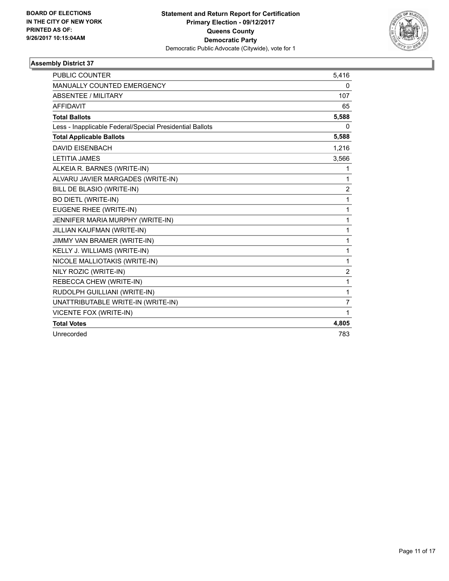

| <b>PUBLIC COUNTER</b>                                    | 5,416          |
|----------------------------------------------------------|----------------|
| MANUALLY COUNTED EMERGENCY                               | 0              |
| <b>ABSENTEE / MILITARY</b>                               | 107            |
| <b>AFFIDAVIT</b>                                         | 65             |
| <b>Total Ballots</b>                                     | 5,588          |
| Less - Inapplicable Federal/Special Presidential Ballots | 0              |
| <b>Total Applicable Ballots</b>                          | 5,588          |
| <b>DAVID EISENBACH</b>                                   | 1,216          |
| <b>LETITIA JAMES</b>                                     | 3,566          |
| ALKEIA R. BARNES (WRITE-IN)                              | 1              |
| ALVARU JAVIER MARGADES (WRITE-IN)                        | 1              |
| BILL DE BLASIO (WRITE-IN)                                | 2              |
| <b>BO DIETL (WRITE-IN)</b>                               | 1              |
| EUGENE RHEE (WRITE-IN)                                   | 1              |
| JENNIFER MARIA MURPHY (WRITE-IN)                         | 1              |
| JILLIAN KAUFMAN (WRITE-IN)                               | 1              |
| JIMMY VAN BRAMER (WRITE-IN)                              | $\mathbf{1}$   |
| KELLY J. WILLIAMS (WRITE-IN)                             | $\mathbf{1}$   |
| NICOLE MALLIOTAKIS (WRITE-IN)                            | 1              |
| NILY ROZIC (WRITE-IN)                                    | $\overline{2}$ |
| REBECCA CHEW (WRITE-IN)                                  | 1              |
| RUDOLPH GUILLIANI (WRITE-IN)                             | 1              |
| UNATTRIBUTABLE WRITE-IN (WRITE-IN)                       | 7              |
| VICENTE FOX (WRITE-IN)                                   | 1              |
| <b>Total Votes</b>                                       | 4,805          |
| Unrecorded                                               | 783            |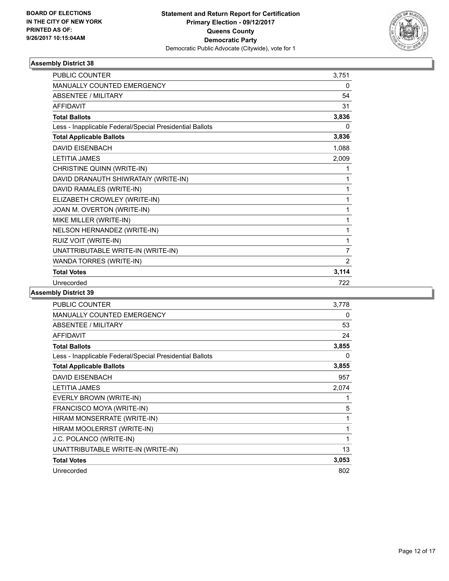

| <b>PUBLIC COUNTER</b>                                    | 3,751          |
|----------------------------------------------------------|----------------|
| MANUALLY COUNTED EMERGENCY                               | 0              |
| ABSENTEE / MILITARY                                      | 54             |
| <b>AFFIDAVIT</b>                                         | 31             |
| <b>Total Ballots</b>                                     | 3,836          |
| Less - Inapplicable Federal/Special Presidential Ballots | 0              |
| <b>Total Applicable Ballots</b>                          | 3,836          |
| <b>DAVID EISENBACH</b>                                   | 1,088          |
| <b>LETITIA JAMES</b>                                     | 2,009          |
| CHRISTINE QUINN (WRITE-IN)                               | 1              |
| DAVID DRANAUTH SHIWRATAIY (WRITE-IN)                     | 1              |
| DAVID RAMALES (WRITE-IN)                                 | 1              |
| ELIZABETH CROWLEY (WRITE-IN)                             | 1              |
| JOAN M. OVERTON (WRITE-IN)                               | 1              |
| MIKE MILLER (WRITE-IN)                                   | 1              |
| NELSON HERNANDEZ (WRITE-IN)                              | 1              |
| RUIZ VOIT (WRITE-IN)                                     | 1              |
| UNATTRIBUTABLE WRITE-IN (WRITE-IN)                       | $\overline{7}$ |
| WANDA TORRES (WRITE-IN)                                  | $\overline{2}$ |
| <b>Total Votes</b>                                       | 3,114          |
| Unrecorded                                               | 722            |

| <b>PUBLIC COUNTER</b>                                    | 3,778 |
|----------------------------------------------------------|-------|
| <b>MANUALLY COUNTED EMERGENCY</b>                        | 0     |
| ABSENTEE / MILITARY                                      | 53    |
| <b>AFFIDAVIT</b>                                         | 24    |
| <b>Total Ballots</b>                                     | 3,855 |
| Less - Inapplicable Federal/Special Presidential Ballots | 0     |
| <b>Total Applicable Ballots</b>                          | 3,855 |
| <b>DAVID EISENBACH</b>                                   | 957   |
| <b>LETITIA JAMES</b>                                     | 2,074 |
| EVERLY BROWN (WRITE-IN)                                  | 1     |
| FRANCISCO MOYA (WRITE-IN)                                | 5     |
| HIRAM MONSERRATE (WRITE-IN)                              | 1     |
| HIRAM MOOLERRST (WRITE-IN)                               | 1     |
| J.C. POLANCO (WRITE-IN)                                  | 1     |
| UNATTRIBUTABLE WRITE-IN (WRITE-IN)                       | 13    |
| <b>Total Votes</b>                                       | 3,053 |
| Unrecorded                                               | 802   |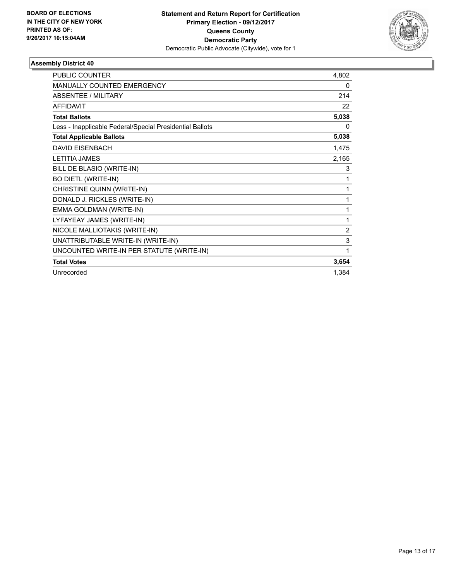

| <b>PUBLIC COUNTER</b>                                    | 4,802 |
|----------------------------------------------------------|-------|
| MANUALLY COUNTED EMERGENCY                               | 0     |
| ABSENTEE / MILITARY                                      | 214   |
| <b>AFFIDAVIT</b>                                         | 22    |
| <b>Total Ballots</b>                                     | 5,038 |
| Less - Inapplicable Federal/Special Presidential Ballots | 0     |
| <b>Total Applicable Ballots</b>                          | 5,038 |
| <b>DAVID EISENBACH</b>                                   | 1,475 |
| <b>LETITIA JAMES</b>                                     | 2,165 |
| BILL DE BLASIO (WRITE-IN)                                | 3     |
| <b>BO DIETL (WRITE-IN)</b>                               | 1     |
| CHRISTINE QUINN (WRITE-IN)                               | 1     |
| DONALD J. RICKLES (WRITE-IN)                             | 1     |
| EMMA GOLDMAN (WRITE-IN)                                  | 1     |
| LYFAYEAY JAMES (WRITE-IN)                                | 1     |
| NICOLE MALLIOTAKIS (WRITE-IN)                            | 2     |
| UNATTRIBUTABLE WRITE-IN (WRITE-IN)                       | 3     |
| UNCOUNTED WRITE-IN PER STATUTE (WRITE-IN)                | 1     |
| <b>Total Votes</b>                                       | 3,654 |
| Unrecorded                                               | 1,384 |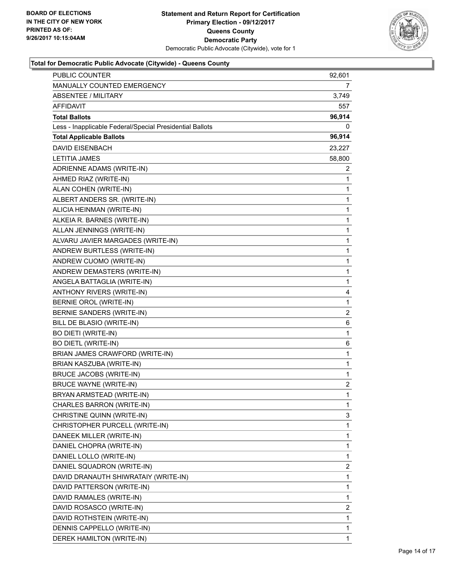

| <b>PUBLIC COUNTER</b>                                    | 92,601       |
|----------------------------------------------------------|--------------|
| MANUALLY COUNTED EMERGENCY                               | 7            |
| ABSENTEE / MILITARY                                      | 3,749        |
| <b>AFFIDAVIT</b>                                         | 557          |
| <b>Total Ballots</b>                                     | 96,914       |
| Less - Inapplicable Federal/Special Presidential Ballots | 0            |
| <b>Total Applicable Ballots</b>                          | 96,914       |
| <b>DAVID EISENBACH</b>                                   | 23,227       |
| <b>LETITIA JAMES</b>                                     | 58,800       |
| ADRIENNE ADAMS (WRITE-IN)                                | 2            |
| AHMED RIAZ (WRITE-IN)                                    | $\mathbf{1}$ |
| ALAN COHEN (WRITE-IN)                                    | 1            |
| ALBERT ANDERS SR. (WRITE-IN)                             | 1            |
| ALICIA HEINMAN (WRITE-IN)                                | 1            |
| ALKEIA R. BARNES (WRITE-IN)                              | 1            |
| ALLAN JENNINGS (WRITE-IN)                                | 1            |
| ALVARU JAVIER MARGADES (WRITE-IN)                        | 1            |
| ANDREW BURTLESS (WRITE-IN)                               | 1            |
| ANDREW CUOMO (WRITE-IN)                                  | 1            |
| ANDREW DEMASTERS (WRITE-IN)                              | 1            |
| ANGELA BATTAGLIA (WRITE-IN)                              | 1            |
| ANTHONY RIVERS (WRITE-IN)                                | 4            |
| BERNIE OROL (WRITE-IN)                                   | $\mathbf{1}$ |
| BERNIE SANDERS (WRITE-IN)                                | 2            |
| BILL DE BLASIO (WRITE-IN)                                | 6            |
| BO DIETI (WRITE-IN)                                      | $\mathbf{1}$ |
| <b>BO DIETL (WRITE-IN)</b>                               | 6            |
| BRIAN JAMES CRAWFORD (WRITE-IN)                          | 1            |
| BRIAN KASZUBA (WRITE-IN)                                 | 1            |
| BRUCE JACOBS (WRITE-IN)                                  | 1            |
| <b>BRUCE WAYNE (WRITE-IN)</b>                            | 2            |
| BRYAN ARMSTEAD (WRITE-IN)                                | 1            |
| CHARLES BARRON (WRITE-IN)                                | 1            |
| CHRISTINE QUINN (WRITE-IN)                               | 3            |
| CHRISTOPHER PURCELL (WRITE-IN)                           | 1            |
| DANEEK MILLER (WRITE-IN)                                 | 1            |
| DANIEL CHOPRA (WRITE-IN)                                 | 1            |
| DANIEL LOLLO (WRITE-IN)                                  | 1            |
| DANIEL SQUADRON (WRITE-IN)                               | 2            |
| DAVID DRANAUTH SHIWRATAIY (WRITE-IN)                     | 1            |
| DAVID PATTERSON (WRITE-IN)                               | 1            |
| DAVID RAMALES (WRITE-IN)                                 | 1            |
| DAVID ROSASCO (WRITE-IN)                                 | 2            |
| DAVID ROTHSTEIN (WRITE-IN)                               | 1            |
| DENNIS CAPPELLO (WRITE-IN)                               | 1            |
| DEREK HAMILTON (WRITE-IN)                                | 1            |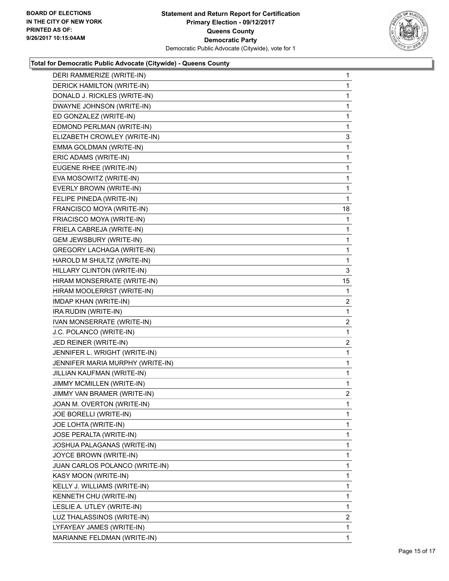

| DERI RAMMERIZE (WRITE-IN)         | $\mathbf 1$    |
|-----------------------------------|----------------|
| DERICK HAMILTON (WRITE-IN)        | 1              |
| DONALD J. RICKLES (WRITE-IN)      | 1              |
| DWAYNE JOHNSON (WRITE-IN)         | 1              |
| ED GONZALEZ (WRITE-IN)            | 1              |
| EDMOND PERLMAN (WRITE-IN)         | $\mathbf 1$    |
| ELIZABETH CROWLEY (WRITE-IN)      | 3              |
| EMMA GOLDMAN (WRITE-IN)           | 1              |
| ERIC ADAMS (WRITE-IN)             | $\mathbf 1$    |
| EUGENE RHEE (WRITE-IN)            | 1              |
| EVA MOSOWITZ (WRITE-IN)           | 1              |
| EVERLY BROWN (WRITE-IN)           | 1              |
| FELIPE PINEDA (WRITE-IN)          | 1              |
| FRANCISCO MOYA (WRITE-IN)         | 18             |
| FRIACISCO MOYA (WRITE-IN)         | $\mathbf 1$    |
| FRIELA CABREJA (WRITE-IN)         | 1              |
| <b>GEM JEWSBURY (WRITE-IN)</b>    | 1              |
| <b>GREGORY LACHAGA (WRITE-IN)</b> | $\mathbf 1$    |
| HAROLD M SHULTZ (WRITE-IN)        | 1              |
| HILLARY CLINTON (WRITE-IN)        | 3              |
| HIRAM MONSERRATE (WRITE-IN)       | 15             |
| HIRAM MOOLERRST (WRITE-IN)        | 1              |
| IMDAP KHAN (WRITE-IN)             | 2              |
| IRA RUDIN (WRITE-IN)              | $\mathbf 1$    |
| IVAN MONSERRATE (WRITE-IN)        | 2              |
| J.C. POLANCO (WRITE-IN)           | 1              |
| JED REINER (WRITE-IN)             | 2              |
| JENNIFER L. WRIGHT (WRITE-IN)     | 1              |
| JENNIFER MARIA MURPHY (WRITE-IN)  | 1              |
| JILLIAN KAUFMAN (WRITE-IN)        | $\mathbf{1}$   |
| JIMMY MCMILLEN (WRITE-IN)         | 1              |
| JIMMY VAN BRAMER (WRITE-IN)       | $\overline{2}$ |
| JOAN M. OVERTON (WRITE-IN)        | 1              |
| JOE BORELLI (WRITE-IN)            | 1              |
| JOE LOHTA (WRITE-IN)              | 1              |
| JOSE PERALTA (WRITE-IN)           | $\mathbf{1}$   |
| JOSHUA PALAGANAS (WRITE-IN)       | 1              |
| JOYCE BROWN (WRITE-IN)            | 1              |
| JUAN CARLOS POLANCO (WRITE-IN)    | $\mathbf{1}$   |
| KASY MOON (WRITE-IN)              | 1              |
| KELLY J. WILLIAMS (WRITE-IN)      | 1              |
| KENNETH CHU (WRITE-IN)            | $\mathbf{1}$   |
| LESLIE A. UTLEY (WRITE-IN)        | 1              |
| LUZ THALASSINOS (WRITE-IN)        | 2              |
| LYFAYEAY JAMES (WRITE-IN)         | 1              |
| MARIANNE FELDMAN (WRITE-IN)       | 1              |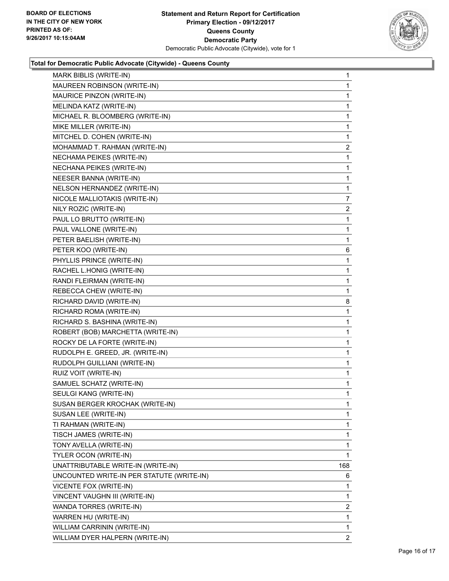

| MARK BIBLIS (WRITE-IN)                    | 1              |
|-------------------------------------------|----------------|
| MAUREEN ROBINSON (WRITE-IN)               | $\mathbf 1$    |
| MAURICE PINZON (WRITE-IN)                 | 1              |
| MELINDA KATZ (WRITE-IN)                   | 1              |
| MICHAEL R. BLOOMBERG (WRITE-IN)           | 1              |
| MIKE MILLER (WRITE-IN)                    | 1              |
| MITCHEL D. COHEN (WRITE-IN)               | 1              |
| MOHAMMAD T. RAHMAN (WRITE-IN)             | $\mathbf{2}$   |
| NECHAMA PEIKES (WRITE-IN)                 | 1              |
| NECHANA PEIKES (WRITE-IN)                 | 1              |
| NEESER BANNA (WRITE-IN)                   | 1              |
| NELSON HERNANDEZ (WRITE-IN)               | 1              |
| NICOLE MALLIOTAKIS (WRITE-IN)             | $\overline{7}$ |
| NILY ROZIC (WRITE-IN)                     | $\mathbf{2}$   |
| PAUL LO BRUTTO (WRITE-IN)                 | 1              |
| PAUL VALLONE (WRITE-IN)                   | 1              |
| PETER BAELISH (WRITE-IN)                  | 1              |
| PETER KOO (WRITE-IN)                      | 6              |
| PHYLLIS PRINCE (WRITE-IN)                 | 1              |
| RACHEL L.HONIG (WRITE-IN)                 | 1              |
| RANDI FLEIRMAN (WRITE-IN)                 | $\mathbf{1}$   |
| REBECCA CHEW (WRITE-IN)                   | 1              |
| RICHARD DAVID (WRITE-IN)                  | 8              |
| RICHARD ROMA (WRITE-IN)                   | 1              |
| RICHARD S. BASHINA (WRITE-IN)             | 1              |
| ROBERT (BOB) MARCHETTA (WRITE-IN)         | 1              |
| ROCKY DE LA FORTE (WRITE-IN)              | 1              |
| RUDOLPH E. GREED, JR. (WRITE-IN)          | 1              |
| RUDOLPH GUILLIANI (WRITE-IN)              | 1              |
| RUIZ VOIT (WRITE-IN)                      | 1              |
| SAMUEL SCHATZ (WRITE-IN)                  | 1              |
| SEULGI KANG (WRITE-IN)                    | 1              |
| SUSAN BERGER KROCHAK (WRITE-IN)           | 1              |
| SUSAN LEE (WRITE-IN)                      | 1              |
| TI RAHMAN (WRITE-IN)                      | 1              |
| TISCH JAMES (WRITE-IN)                    | $\mathbf{1}$   |
| TONY AVELLA (WRITE-IN)                    | 1              |
| TYLER OCON (WRITE-IN)                     | 1              |
| UNATTRIBUTABLE WRITE-IN (WRITE-IN)        | 168            |
| UNCOUNTED WRITE-IN PER STATUTE (WRITE-IN) | 6              |
| <b>VICENTE FOX (WRITE-IN)</b>             | 1              |
| VINCENT VAUGHN III (WRITE-IN)             | $\mathbf 1$    |
| WANDA TORRES (WRITE-IN)                   | 2              |
| WARREN HU (WRITE-IN)                      | 1              |
| WILLIAM CARRININ (WRITE-IN)               | $\mathbf 1$    |
| WILLIAM DYER HALPERN (WRITE-IN)           | $\overline{2}$ |